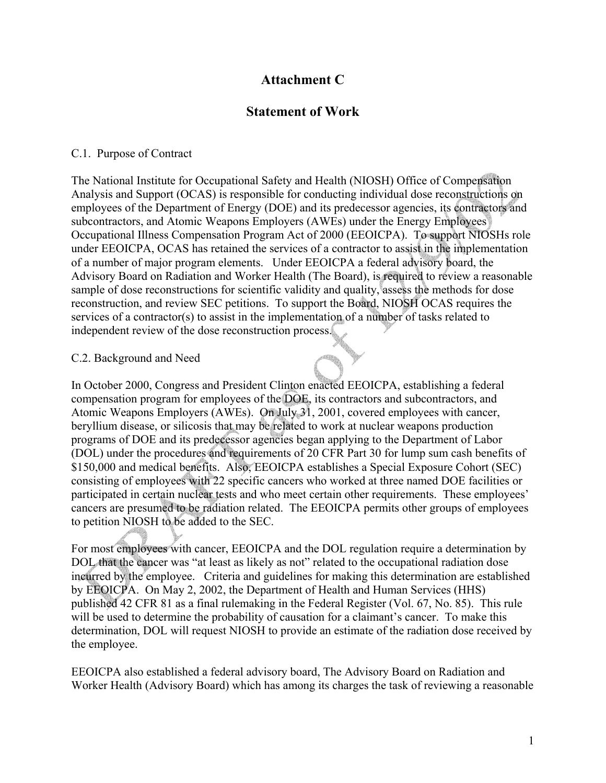# **Attachment C**

## **Statement of Work**

## C.1. Purpose of Contract

The National Institute for Occupational Safety and Health (NIOSH) Office of Compensation Analysis and Support (OCAS) is responsible for conducting individual dose reconstructions on employees of the Department of Energy (DOE) and its predecessor agencies, its contractors and subcontractors, and Atomic Weapons Employers (AWEs) under the Energy Employees Occupational Illness Compensation Program Act of 2000 (EEOICPA). To support NIOSHs role under EEOICPA, OCAS has retained the services of a contractor to assist in the implementation of a number of major program elements. Under EEOICPA a federal advisory board, the Advisory Board on Radiation and Worker Health (The Board), is required to review a reasonable sample of dose reconstructions for scientific validity and quality, assess the methods for dose reconstruction, and review SEC petitions. To support the Board, NIOSH OCAS requires the services of a contractor(s) to assist in the implementation of a number of tasks related to independent review of the dose reconstruction process.

### C.2. Background and Need

In October 2000, Congress and President Clinton enacted EEOICPA, establishing a federal compensation program for employees of the DOE, its contractors and subcontractors, and Atomic Weapons Employers (AWEs). On July 31, 2001, covered employees with cancer, beryllium disease, or silicosis that may be related to work at nuclear weapons production programs of DOE and its predecessor agencies began applying to the Department of Labor (DOL) under the procedures and requirements of 20 CFR Part 30 for lump sum cash benefits of \$150,000 and medical benefits. Also, EEOICPA establishes a Special Exposure Cohort (SEC) consisting of employees with 22 specific cancers who worked at three named DOE facilities or participated in certain nuclear tests and who meet certain other requirements. These employees' cancers are presumed to be radiation related. The EEOICPA permits other groups of employees to petition NIOSH to be added to the SEC.

For most employees with cancer, EEOICPA and the DOL regulation require a determination by DOL that the cancer was "at least as likely as not" related to the occupational radiation dose incurred by the employee. Criteria and guidelines for making this determination are established by EEOICPA. On May 2, 2002, the Department of Health and Human Services (HHS) published 42 CFR 81 as a final rulemaking in the Federal Register (Vol. 67, No. 85). This rule will be used to determine the probability of causation for a claimant's cancer. To make this determination, DOL will request NIOSH to provide an estimate of the radiation dose received by the employee.

EEOICPA also established a federal advisory board, The Advisory Board on Radiation and Worker Health (Advisory Board) which has among its charges the task of reviewing a reasonable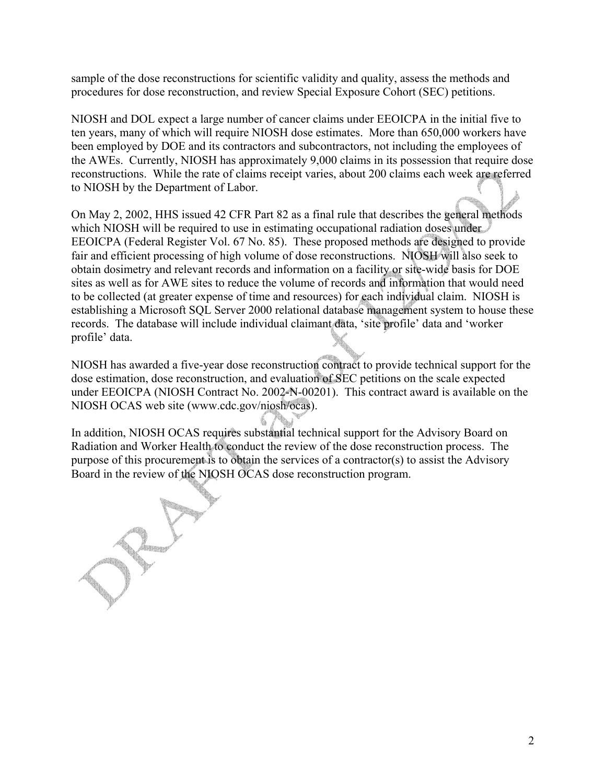sample of the dose reconstructions for scientific validity and quality, assess the methods and procedures for dose reconstruction, and review Special Exposure Cohort (SEC) petitions.

NIOSH and DOL expect a large number of cancer claims under EEOICPA in the initial five to ten years, many of which will require NIOSH dose estimates. More than 650,000 workers have been employed by DOE and its contractors and subcontractors, not including the employees of the AWEs. Currently, NIOSH has approximately 9,000 claims in its possession that require dose reconstructions. While the rate of claims receipt varies, about 200 claims each week are referred to NIOSH by the Department of Labor.

On May 2, 2002, HHS issued 42 CFR Part 82 as a final rule that describes the general methods which NIOSH will be required to use in estimating occupational radiation doses under EEOICPA (Federal Register Vol. 67 No. 85). These proposed methods are designed to provide fair and efficient processing of high volume of dose reconstructions. NIOSH will also seek to obtain dosimetry and relevant records and information on a facility or site-wide basis for DOE sites as well as for AWE sites to reduce the volume of records and information that would need to be collected (at greater expense of time and resources) for each individual claim. NIOSH is establishing a Microsoft SQL Server 2000 relational database management system to house these records. The database will include individual claimant data, 'site profile' data and 'worker profile' data.

NIOSH has awarded a five-year dose reconstruction contract to provide technical support for the dose estimation, dose reconstruction, and evaluation of SEC petitions on the scale expected under EEOICPA (NIOSH Contract No. 2002-N-00201). This contract award is available on the NIOSH OCAS web site (www.cdc.gov/niosh/ocas).

In addition, NIOSH OCAS requires substantial technical support for the Advisory Board on Radiation and Worker Health to conduct the review of the dose reconstruction process. The purpose of this procurement is to obtain the services of a contractor(s) to assist the Advisory Board in the review of the NIOSH OCAS dose reconstruction program.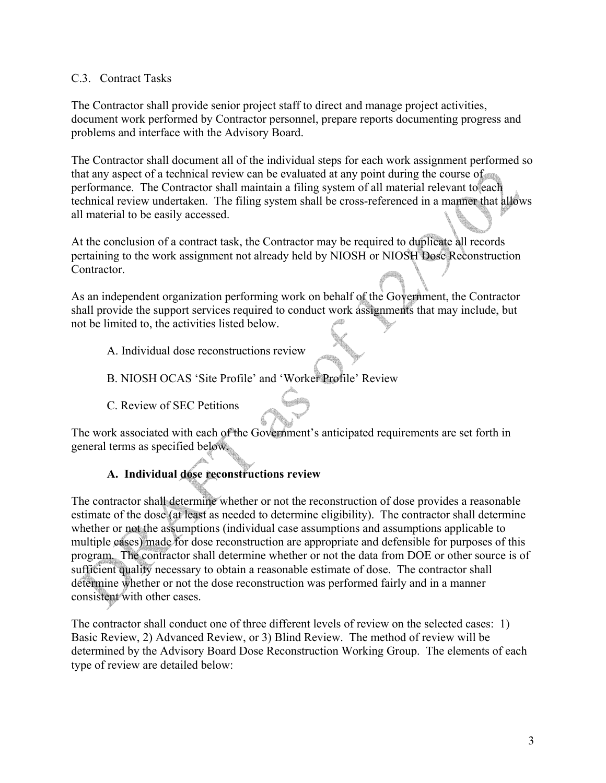## C.3. Contract Tasks

The Contractor shall provide senior project staff to direct and manage project activities, document work performed by Contractor personnel, prepare reports documenting progress and problems and interface with the Advisory Board.

The Contractor shall document all of the individual steps for each work assignment performed so that any aspect of a technical review can be evaluated at any point during the course of performance. The Contractor shall maintain a filing system of all material relevant to each technical review undertaken. The filing system shall be cross-referenced in a manner that allows all material to be easily accessed.

At the conclusion of a contract task, the Contractor may be required to duplicate all records pertaining to the work assignment not already held by NIOSH or NIOSH Dose Reconstruction **Contractor** 

As an independent organization performing work on behalf of the Government, the Contractor shall provide the support services required to conduct work assignments that may include, but not be limited to, the activities listed below.

- A. Individual dose reconstructions review
- B. NIOSH OCAS 'Site Profile' and 'Worker Profile' Review
- C. Review of SEC Petitions

The work associated with each of the Government's anticipated requirements are set forth in general terms as specified below.

## **A. Individual dose reconstructions review**

The contractor shall determine whether or not the reconstruction of dose provides a reasonable estimate of the dose (at least as needed to determine eligibility). The contractor shall determine whether or not the assumptions (individual case assumptions and assumptions applicable to multiple cases) made for dose reconstruction are appropriate and defensible for purposes of this program. The contractor shall determine whether or not the data from DOE or other source is of sufficient quality necessary to obtain a reasonable estimate of dose. The contractor shall determine whether or not the dose reconstruction was performed fairly and in a manner consistent with other cases.

The contractor shall conduct one of three different levels of review on the selected cases: 1) Basic Review, 2) Advanced Review, or 3) Blind Review. The method of review will be determined by the Advisory Board Dose Reconstruction Working Group. The elements of each type of review are detailed below: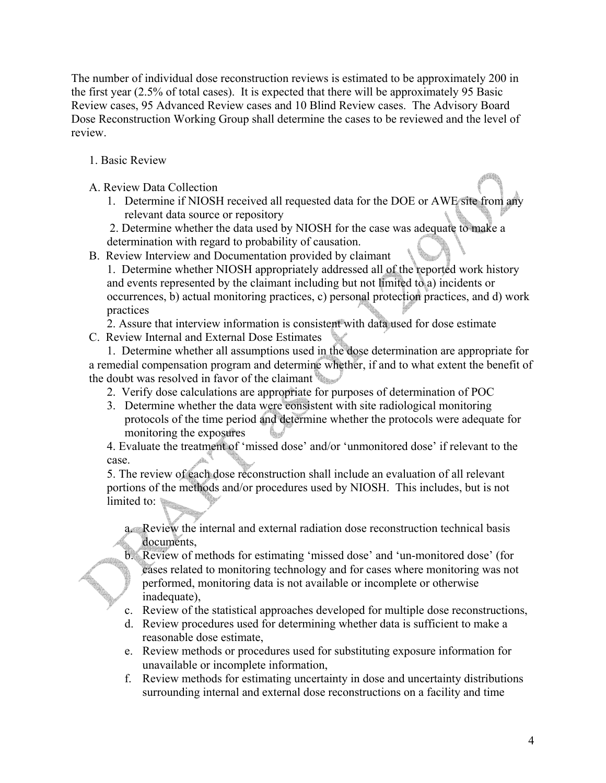The number of individual dose reconstruction reviews is estimated to be approximately 200 in the first year (2.5% of total cases). It is expected that there will be approximately 95 Basic Review cases, 95 Advanced Review cases and 10 Blind Review cases. The Advisory Board Dose Reconstruction Working Group shall determine the cases to be reviewed and the level of review.

- 1. Basic Review
- A. Review Data Collection
	- 1. Determine if NIOSH received all requested data for the DOE or AWE site from any relevant data source or repository
	- 2. Determine whether the data used by NIOSH for the case was adequate to make a

determination with regard to probability of causation.

B. Review Interview and Documentation provided by claimant

1. Determine whether NIOSH appropriately addressed all of the reported work history and events represented by the claimant including but not limited to a) incidents or occurrences, b) actual monitoring practices, c) personal protection practices, and d) work practices

2. Assure that interview information is consistent with data used for dose estimate C. Review Internal and External Dose Estimates

1. Determine whether all assumptions used in the dose determination are appropriate for a remedial compensation program and determine whether, if and to what extent the benefit of the doubt was resolved in favor of the claimant

- 2. Verify dose calculations are appropriate for purposes of determination of POC
- 3. Determine whether the data were consistent with site radiological monitoring protocols of the time period and determine whether the protocols were adequate for monitoring the exposures

4. Evaluate the treatment of 'missed dose' and/or 'unmonitored dose' if relevant to the case.

5. The review of each dose reconstruction shall include an evaluation of all relevant portions of the methods and/or procedures used by NIOSH. This includes, but is not limited to:

a. Review the internal and external radiation dose reconstruction technical basis documents,

- b. Review of methods for estimating 'missed dose' and 'un-monitored dose' (for cases related to monitoring technology and for cases where monitoring was not performed, monitoring data is not available or incomplete or otherwise inadequate).
- c. Review of the statistical approaches developed for multiple dose reconstructions,
- d. Review procedures used for determining whether data is sufficient to make a reasonable dose estimate,
- e. Review methods or procedures used for substituting exposure information for unavailable or incomplete information,
- f. Review methods for estimating uncertainty in dose and uncertainty distributions surrounding internal and external dose reconstructions on a facility and time

4.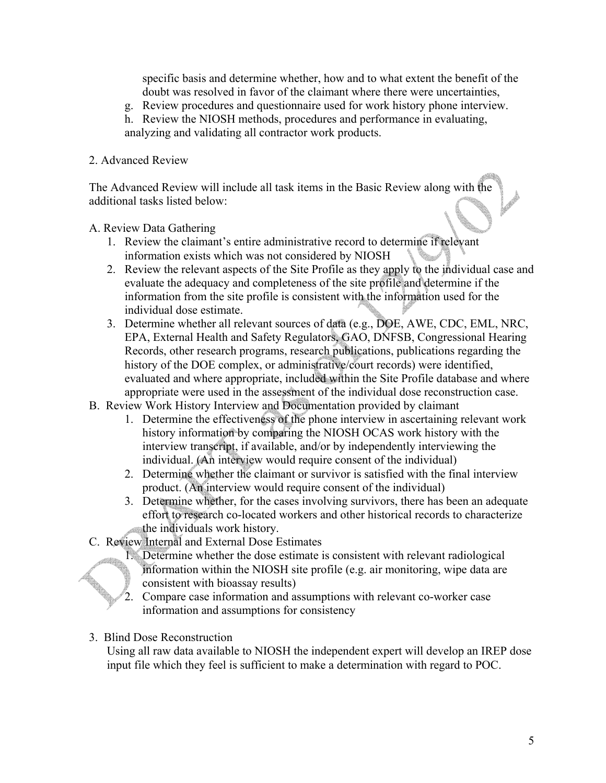specific basis and determine whether, how and to what extent the benefit of the doubt was resolved in favor of the claimant where there were uncertainties,

- g. Review procedures and questionnaire used for work history phone interview.
- h. Review the NIOSH methods, procedures and performance in evaluating, analyzing and validating all contractor work products.

## 2. Advanced Review

The Advanced Review will include all task items in the Basic Review along with the additional tasks listed below:

A. Review Data Gathering

- 1. Review the claimant's entire administrative record to determine if relevant information exists which was not considered by NIOSH
- 2. Review the relevant aspects of the Site Profile as they apply to the individual case and evaluate the adequacy and completeness of the site profile and determine if the information from the site profile is consistent with the information used for the individual dose estimate.
- 3. Determine whether all relevant sources of data (e.g., DOE, AWE, CDC, EML, NRC, EPA, External Health and Safety Regulators, GAO, DNFSB, Congressional Hearing Records, other research programs, research publications, publications regarding the history of the DOE complex, or administrative/court records) were identified, evaluated and where appropriate, included within the Site Profile database and where appropriate were used in the assessment of the individual dose reconstruction case.
- B. Review Work History Interview and Documentation provided by claimant
	- 1. Determine the effectiveness of the phone interview in ascertaining relevant work history information by comparing the NIOSH OCAS work history with the interview transcript, if available, and/or by independently interviewing the individual. (An interview would require consent of the individual)
	- 2. Determine whether the claimant or survivor is satisfied with the final interview product. (An interview would require consent of the individual)
	- 3. Determine whether, for the cases involving survivors, there has been an adequate effort to research co-located workers and other historical records to characterize the individuals work history.
- C. Review Internal and External Dose Estimates
	- 1. Determine whether the dose estimate is consistent with relevant radiological information within the NIOSH site profile (e.g. air monitoring, wipe data are consistent with bioassay results)
	- 2. Compare case information and assumptions with relevant co-worker case information and assumptions for consistency
- 3. Blind Dose Reconstruction

Using all raw data available to NIOSH the independent expert will develop an IREP dose input file which they feel is sufficient to make a determination with regard to POC.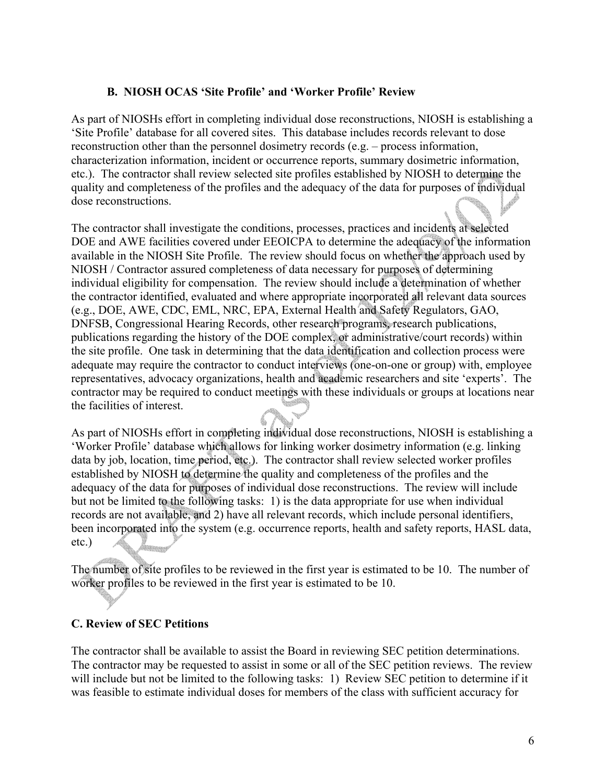## **B. NIOSH OCAS 'Site Profile' and 'Worker Profile' Review**

As part of NIOSHs effort in completing individual dose reconstructions, NIOSH is establishing a 'Site Profile' database for all covered sites. This database includes records relevant to dose reconstruction other than the personnel dosimetry records (e.g. – process information, characterization information, incident or occurrence reports, summary dosimetric information, etc.). The contractor shall review selected site profiles established by NIOSH to determine the quality and completeness of the profiles and the adequacy of the data for purposes of individual dose reconstructions.

The contractor shall investigate the conditions, processes, practices and incidents at selected DOE and AWE facilities covered under EEOICPA to determine the adequacy of the information available in the NIOSH Site Profile. The review should focus on whether the approach used by NIOSH / Contractor assured completeness of data necessary for purposes of determining individual eligibility for compensation. The review should include a determination of whether the contractor identified, evaluated and where appropriate incorporated all relevant data sources (e.g., DOE, AWE, CDC, EML, NRC, EPA, External Health and Safety Regulators, GAO, DNFSB, Congressional Hearing Records, other research programs, research publications, publications regarding the history of the DOE complex, or administrative/court records) within the site profile. One task in determining that the data identification and collection process were adequate may require the contractor to conduct interviews (one-on-one or group) with, employee representatives, advocacy organizations, health and academic researchers and site 'experts'. The contractor may be required to conduct meetings with these individuals or groups at locations near the facilities of interest.

As part of NIOSHs effort in completing individual dose reconstructions, NIOSH is establishing a 'Worker Profile' database which allows for linking worker dosimetry information (e.g. linking data by job, location, time period, etc.). The contractor shall review selected worker profiles established by NIOSH to determine the quality and completeness of the profiles and the adequacy of the data for purposes of individual dose reconstructions. The review will include but not be limited to the following tasks: 1) is the data appropriate for use when individual records are not available, and 2) have all relevant records, which include personal identifiers, been incorporated into the system (e.g. occurrence reports, health and safety reports, HASL data, etc.)

The number of site profiles to be reviewed in the first year is estimated to be 10. The number of worker profiles to be reviewed in the first year is estimated to be 10.

#### **C. Review of SEC Petitions**

The contractor shall be available to assist the Board in reviewing SEC petition determinations. The contractor may be requested to assist in some or all of the SEC petition reviews. The review will include but not be limited to the following tasks: 1) Review SEC petition to determine if it was feasible to estimate individual doses for members of the class with sufficient accuracy for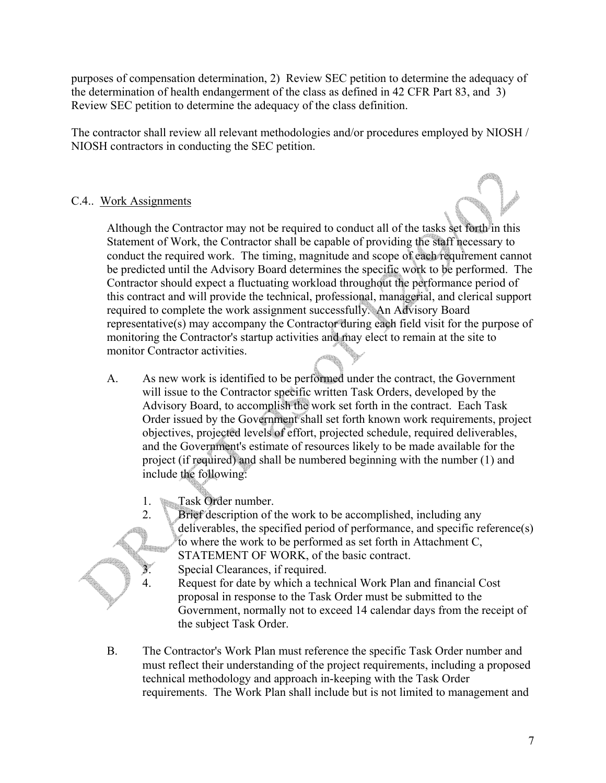purposes of compensation determination, 2) Review SEC petition to determine the adequacy of the determination of health endangerment of the class as defined in 42 CFR Part 83, and 3) Review SEC petition to determine the adequacy of the class definition.

The contractor shall review all relevant methodologies and/or procedures employed by NIOSH / NIOSH contractors in conducting the SEC petition.

## C.4.. Work Assignments



Although the Contractor may not be required to conduct all of the tasks set forth in this Statement of Work, the Contractor shall be capable of providing the staff necessary to conduct the required work. The timing, magnitude and scope of each requirement cannot be predicted until the Advisory Board determines the specific work to be performed. The Contractor should expect a fluctuating workload throughout the performance period of this contract and will provide the technical, professional, managerial, and clerical support required to complete the work assignment successfully. An Advisory Board representative(s) may accompany the Contractor during each field visit for the purpose of monitoring the Contractor's startup activities and may elect to remain at the site to monitor Contractor activities.

- A. As new work is identified to be performed under the contract, the Government will issue to the Contractor specific written Task Orders, developed by the Advisory Board, to accomplish the work set forth in the contract. Each Task Order issued by the Government shall set forth known work requirements, project objectives, projected levels of effort, projected schedule, required deliverables, and the Government's estimate of resources likely to be made available for the project (if required) and shall be numbered beginning with the number (1) and include the following:
	- 1. Task Order number.



- 2. Brief description of the work to be accomplished, including any deliverables, the specified period of performance, and specific reference(s) to where the work to be performed as set forth in Attachment C, STATEMENT OF WORK, of the basic contract.
	- Special Clearances, if required.
- 4. Request for date by which a technical Work Plan and financial Cost proposal in response to the Task Order must be submitted to the Government, normally not to exceed 14 calendar days from the receipt of the subject Task Order.
- B. The Contractor's Work Plan must reference the specific Task Order number and must reflect their understanding of the project requirements, including a proposed technical methodology and approach in-keeping with the Task Order requirements. The Work Plan shall include but is not limited to management and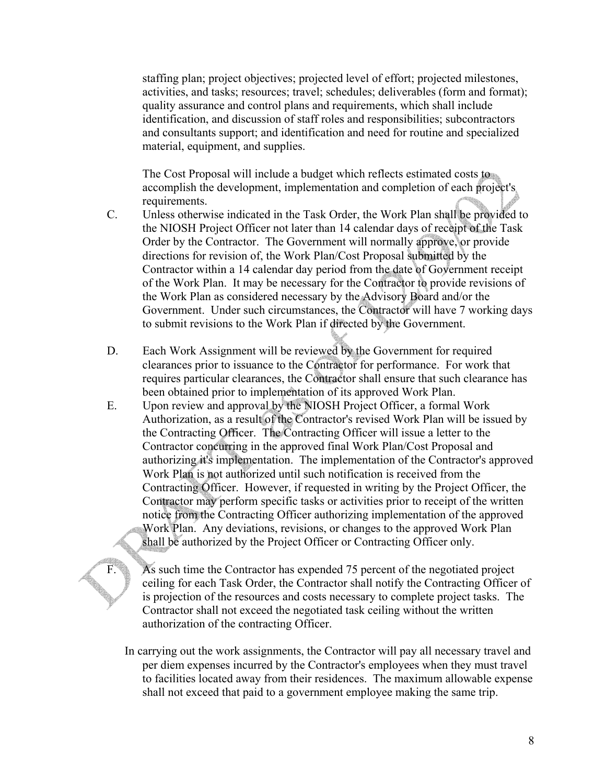staffing plan; project objectives; projected level of effort; projected milestones, activities, and tasks; resources; travel; schedules; deliverables (form and format); quality assurance and control plans and requirements, which shall include identification, and discussion of staff roles and responsibilities; subcontractors and consultants support; and identification and need for routine and specialized material, equipment, and supplies.

The Cost Proposal will include a budget which reflects estimated costs to accomplish the development, implementation and completion of each project's requirements.

- C. Unless otherwise indicated in the Task Order, the Work Plan shall be provided to the NIOSH Project Officer not later than 14 calendar days of receipt of the Task Order by the Contractor. The Government will normally approve, or provide directions for revision of, the Work Plan/Cost Proposal submitted by the Contractor within a 14 calendar day period from the date of Government receipt of the Work Plan. It may be necessary for the Contractor to provide revisions of the Work Plan as considered necessary by the Advisory Board and/or the Government. Under such circumstances, the Contractor will have 7 working days to submit revisions to the Work Plan if directed by the Government.
- D. Each Work Assignment will be reviewed by the Government for required clearances prior to issuance to the Contractor for performance. For work that requires particular clearances, the Contractor shall ensure that such clearance has been obtained prior to implementation of its approved Work Plan.
- E. Upon review and approval by the NIOSH Project Officer, a formal Work Authorization, as a result of the Contractor's revised Work Plan will be issued by the Contracting Officer. The Contracting Officer will issue a letter to the Contractor concurring in the approved final Work Plan/Cost Proposal and authorizing it's implementation. The implementation of the Contractor's approved Work Plan is not authorized until such notification is received from the Contracting Officer. However, if requested in writing by the Project Officer, the Contractor may perform specific tasks or activities prior to receipt of the written notice from the Contracting Officer authorizing implementation of the approved Work Plan. Any deviations, revisions, or changes to the approved Work Plan shall be authorized by the Project Officer or Contracting Officer only.

F. As such time the Contractor has expended 75 percent of the negotiated project ceiling for each Task Order, the Contractor shall notify the Contracting Officer of is projection of the resources and costs necessary to complete project tasks. The Contractor shall not exceed the negotiated task ceiling without the written authorization of the contracting Officer.

In carrying out the work assignments, the Contractor will pay all necessary travel and per diem expenses incurred by the Contractor's employees when they must travel to facilities located away from their residences. The maximum allowable expense shall not exceed that paid to a government employee making the same trip.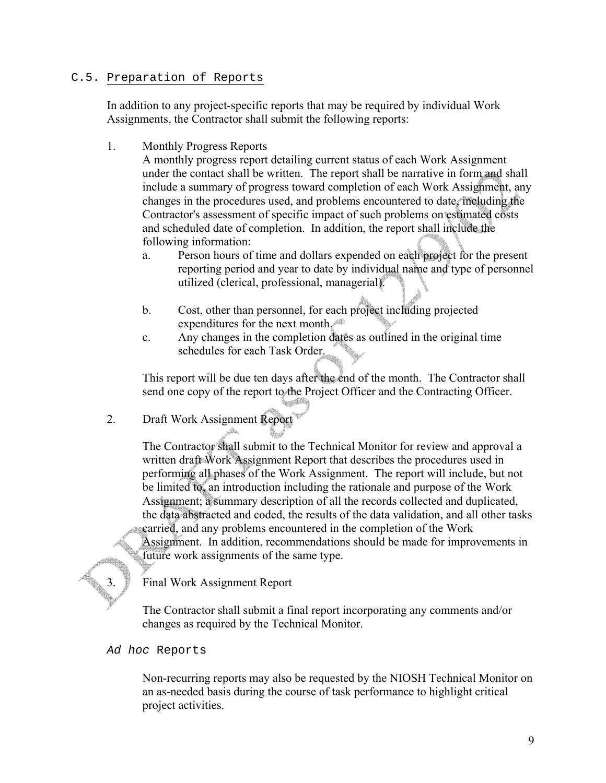#### C.5. Preparation of Reports

In addition to any project-specific reports that may be required by individual Work Assignments, the Contractor shall submit the following reports:

1. Monthly Progress Reports

A monthly progress report detailing current status of each Work Assignment under the contact shall be written. The report shall be narrative in form and shall include a summary of progress toward completion of each Work Assignment, any changes in the procedures used, and problems encountered to date, including the Contractor's assessment of specific impact of such problems on estimated costs and scheduled date of completion. In addition, the report shall include the following information:

- a. Person hours of time and dollars expended on each project for the present reporting period and year to date by individual name and type of personnel utilized (clerical, professional, managerial).
- b. Cost, other than personnel, for each project including projected expenditures for the next month.
- c. Any changes in the completion dates as outlined in the original time schedules for each Task Order.

This report will be due ten days after the end of the month. The Contractor shall send one copy of the report to the Project Officer and the Contracting Officer.

2. Draft Work Assignment Report

The Contractor shall submit to the Technical Monitor for review and approval a written draft Work Assignment Report that describes the procedures used in performing all phases of the Work Assignment. The report will include, but not be limited to, an introduction including the rationale and purpose of the Work Assignment; a summary description of all the records collected and duplicated, the data abstracted and coded, the results of the data validation, and all other tasks carried, and any problems encountered in the completion of the Work Assignment. In addition, recommendations should be made for improvements in future work assignments of the same type.

3. Final Work Assignment Report

The Contractor shall submit a final report incorporating any comments and/or changes as required by the Technical Monitor.

*Ad hoc* Reports

Non-recurring reports may also be requested by the NIOSH Technical Monitor on an as-needed basis during the course of task performance to highlight critical project activities.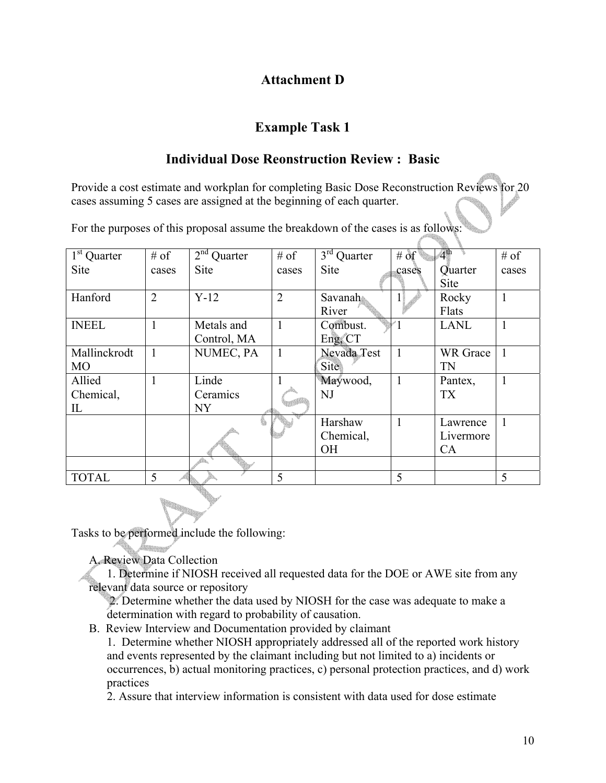# **Attachment D**

# **Example Task 1**

# **Individual Dose Reonstruction Review : Basic**

Provide a cost estimate and workplan for completing Basic Dose Reconstruction Reviews for 20 cases assuming 5 cases are assigned at the beginning of each quarter.

For the purposes of this proposal assume the breakdown of the cases is as follows:

| $1st$ Quarter | $#$ of         | $2nd$ Quarter  | $#$ of         | $3rd$ Quarter | # of           | $-4th$          | $#$ of |
|---------------|----------------|----------------|----------------|---------------|----------------|-----------------|--------|
| <b>Site</b>   | cases          | <b>Site</b>    | cases          | <b>Site</b>   | cases          | Quarter         | cases  |
|               |                |                |                |               |                | <b>Site</b>     |        |
| Hanford       | $\overline{2}$ | $Y-12$         | $\overline{2}$ | Savanah       |                | Rocky           | 1      |
|               |                |                |                | River         |                | Flats           |        |
| <b>INEEL</b>  |                | Metals and     | $\mathbf{1}$   | Combust.      |                | <b>LANL</b>     | 1      |
|               |                | Control, MA    |                | Eng, CT       |                |                 |        |
| Mallinckrodt  |                | NUMEC, PA      | 1              | Nevada Test   | $\mathbf{1}$   | <b>WR</b> Grace |        |
| <b>MO</b>     |                |                |                | <b>Site</b>   |                | TN              |        |
| Allied        |                | Linde          |                | Maywood,      | $\overline{1}$ | Pantex,         |        |
| Chemical,     |                | Ceramics       |                | NJ            |                | <b>TX</b>       |        |
| IL            |                | NY <sub></sub> |                |               |                |                 |        |
|               |                |                |                | Harshaw       | $\mathbf{1}$   | Lawrence        | 1      |
|               |                |                |                | Chemical,     |                | Livermore       |        |
|               |                |                |                | <b>OH</b>     |                | CA              |        |
|               |                |                |                |               |                |                 |        |
| <b>TOTAL</b>  | 5              |                | 5              |               | 5              |                 | 5      |
|               |                |                |                |               |                |                 |        |

Tasks to be performed include the following:

A. Review Data Collection

1. Determine if NIOSH received all requested data for the DOE or AWE site from any relevant data source or repository

 2. Determine whether the data used by NIOSH for the case was adequate to make a determination with regard to probability of causation.

B. Review Interview and Documentation provided by claimant

1. Determine whether NIOSH appropriately addressed all of the reported work history and events represented by the claimant including but not limited to a) incidents or occurrences, b) actual monitoring practices, c) personal protection practices, and d) work practices

2. Assure that interview information is consistent with data used for dose estimate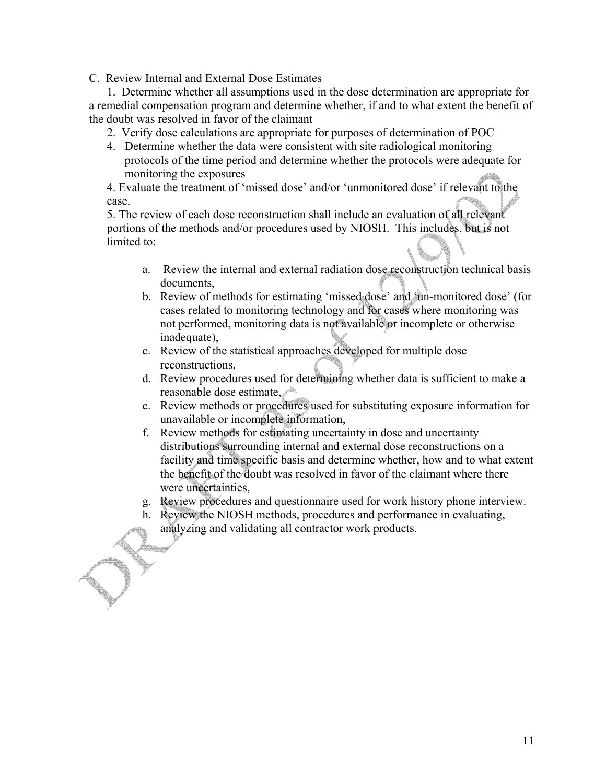C. Review Internal and External Dose Estimates

1. Determine whether all assumptions used in the dose determination are appropriate for a remedial compensation program and determine whether, if and to what extent the benefit of the doubt was resolved in favor of the claimant

- 2. Verify dose calculations are appropriate for purposes of determination of POC
- 4. Determine whether the data were consistent with site radiological monitoring protocols of the time period and determine whether the protocols were adequate for monitoring the exposures

4. Evaluate the treatment of 'missed dose' and/or 'unmonitored dose' if relevant to the case.

5. The review of each dose reconstruction shall include an evaluation of all relevant portions of the methods and/or procedures used by NIOSH. This includes, but is not limited to:

- a. Review the internal and external radiation dose reconstruction technical basis documents,
- b. Review of methods for estimating 'missed dose' and 'un-monitored dose' (for cases related to monitoring technology and for cases where monitoring was not performed, monitoring data is not available or incomplete or otherwise inadequate),
- c. Review of the statistical approaches developed for multiple dose reconstructions,
- d. Review procedures used for determining whether data is sufficient to make a reasonable dose estimate,
- e. Review methods or procedures used for substituting exposure information for unavailable or incomplete information,
- f. Review methods for estimating uncertainty in dose and uncertainty distributions surrounding internal and external dose reconstructions on a facility and time specific basis and determine whether, how and to what extent the benefit of the doubt was resolved in favor of the claimant where there were uncertainties,
- g. Review procedures and questionnaire used for work history phone interview.
- h. Review the NIOSH methods, procedures and performance in evaluating, analyzing and validating all contractor work products.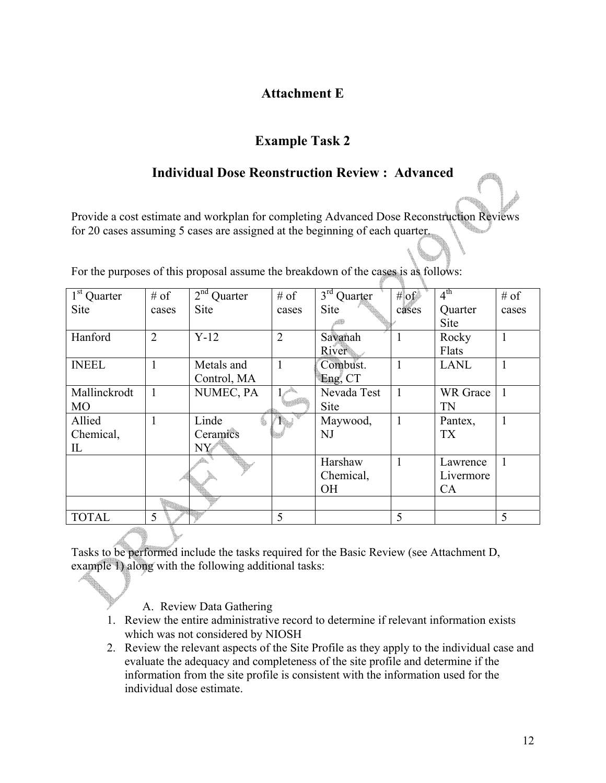# **Attachment E**

# **Example Task 2**

## **Individual Dose Reonstruction Review : Advanced**

Provide a cost estimate and workplan for completing Advanced Dose Reconstruction Reviews for 20 cases assuming 5 cases are assigned at the beginning of each quarter.

| $1st$ Quarter | $#$ of         | $2nd$ Quarter | $#$ of         | $3rd$ Quarter | # $of$       | 4 <sup>th</sup> | $#$ of |
|---------------|----------------|---------------|----------------|---------------|--------------|-----------------|--------|
| Site          | cases          | Site          | cases          | <b>Site</b>   | cases        | Quarter         | cases  |
|               |                |               |                |               |              | <b>Site</b>     |        |
| Hanford       | $\overline{2}$ | $Y-12$        | $\overline{2}$ | Savanah       |              | Rocky           |        |
|               |                |               |                | River         |              | Flats           |        |
| <b>INEEL</b>  |                | Metals and    | 1              | Combust.      | $\mathbf{1}$ | <b>LANL</b>     |        |
|               |                | Control, MA   |                | Eng. CT       |              |                 |        |
| Mallinckrodt  | $\overline{1}$ | NUMEC, PA     |                | Nevada Test   |              | <b>WR</b> Grace | 1      |
| <b>MO</b>     |                |               |                | Site          |              | <b>TN</b>       |        |
| Allied        |                | Linde         |                | Maywood,      |              | Pantex,         | 1      |
| Chemical,     |                | Ceramics      |                | NJ            |              | <b>TX</b>       |        |
| IL            |                | $NY^*$        |                |               |              |                 |        |
|               |                |               |                | Harshaw       | $\mathbf{1}$ | Lawrence        | 1      |
|               |                |               |                | Chemical,     |              | Livermore       |        |
|               |                |               |                | <b>OH</b>     |              | CA              |        |
|               |                |               |                |               |              |                 |        |
| <b>TOTAL</b>  | 5              |               | 5              |               | 5            |                 | 5      |

For the purposes of this proposal assume the breakdown of the cases is as follows:

Tasks to be performed include the tasks required for the Basic Review (see Attachment D, example 1) along with the following additional tasks:

- A. Review Data Gathering
- 1. Review the entire administrative record to determine if relevant information exists which was not considered by NIOSH
- 2. Review the relevant aspects of the Site Profile as they apply to the individual case and evaluate the adequacy and completeness of the site profile and determine if the information from the site profile is consistent with the information used for the individual dose estimate.